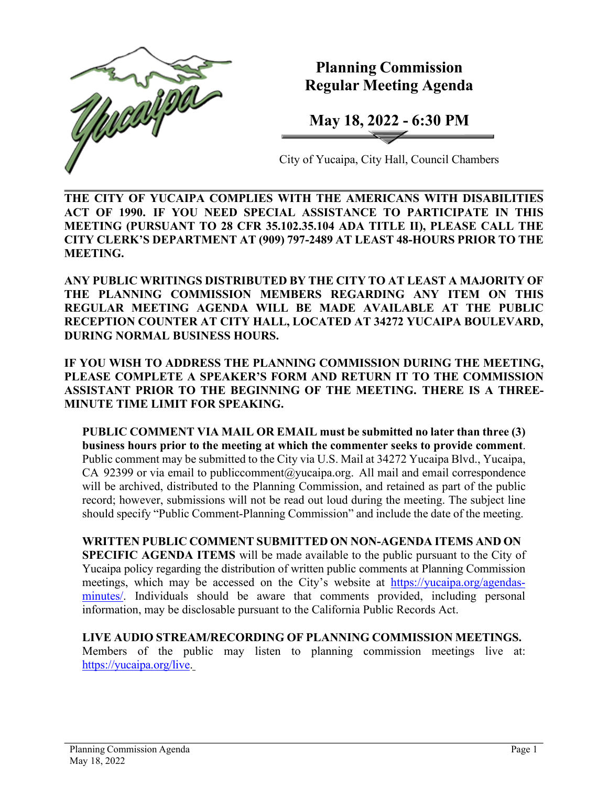

# **Planning Commission Regular Meeting Agenda**

**May 18, 2022 - 6:30 PM**

City of Yucaipa, City Hall, Council Chambers

**THE CITY OF YUCAIPA COMPLIES WITH THE AMERICANS WITH DISABILITIES ACT OF 1990. IF YOU NEED SPECIAL ASSISTANCE TO PARTICIPATE IN THIS MEETING (PURSUANT TO 28 CFR 35.102.35.104 ADA TITLE II), PLEASE CALL THE CITY CLERK'S DEPARTMENT AT (909) 797-2489 AT LEAST 48-HOURS PRIOR TO THE MEETING.**

**ANY PUBLIC WRITINGS DISTRIBUTED BY THE CITY TO AT LEAST A MAJORITY OF THE PLANNING COMMISSION MEMBERS REGARDING ANY ITEM ON THIS REGULAR MEETING AGENDA WILL BE MADE AVAILABLE AT THE PUBLIC RECEPTION COUNTER AT CITY HALL, LOCATED AT 34272 YUCAIPA BOULEVARD, DURING NORMAL BUSINESS HOURS.**

**IF YOU WISH TO ADDRESS THE PLANNING COMMISSION DURING THE MEETING, PLEASE COMPLETE A SPEAKER'S FORM AND RETURN IT TO THE COMMISSION ASSISTANT PRIOR TO THE BEGINNING OF THE MEETING. THERE IS A THREE-MINUTE TIME LIMIT FOR SPEAKING.**

**PUBLIC COMMENT VIA MAIL OR EMAIL must be submitted no later than three (3) business hours prior to the meeting at which the commenter seeks to provide comment**. Public comment may be submitted to the City via U.S. Mail at 34272 Yucaipa Blvd., Yucaipa, CA 92399 or via email to [publiccomment@yucaipa.org.](mailto:publiccomment@yucaipa.org) All mail and email correspondence will be archived, distributed to the Planning Commission, and retained as part of the public record; however, submissions will not be read out loud during the meeting. The subject line should specify "Public Comment-Planning Commission" and include the date of the meeting.

**WRITTEN PUBLIC COMMENT SUBMITTED ON NON-AGENDA ITEMS AND ON SPECIFIC AGENDA ITEMS** will be made available to the public pursuant to the City of Yucaipa policy regarding the distribution of written public comments at Planning Commission meetings, which may be accessed on the City's website at [https://yucaipa.org/agendas](https://yucaipa.org/agendas-minutes/)[minutes/.](https://yucaipa.org/agendas-minutes/) Individuals should be aware that comments provided, including personal information, may be disclosable pursuant to the California Public Records Act.

**LIVE AUDIO STREAM/RECORDING OF PLANNING COMMISSION MEETINGS.** Members of the public may listen to planning commission meetings live at: [https://yucaipa.org/live.](https://yucaipa.org/live)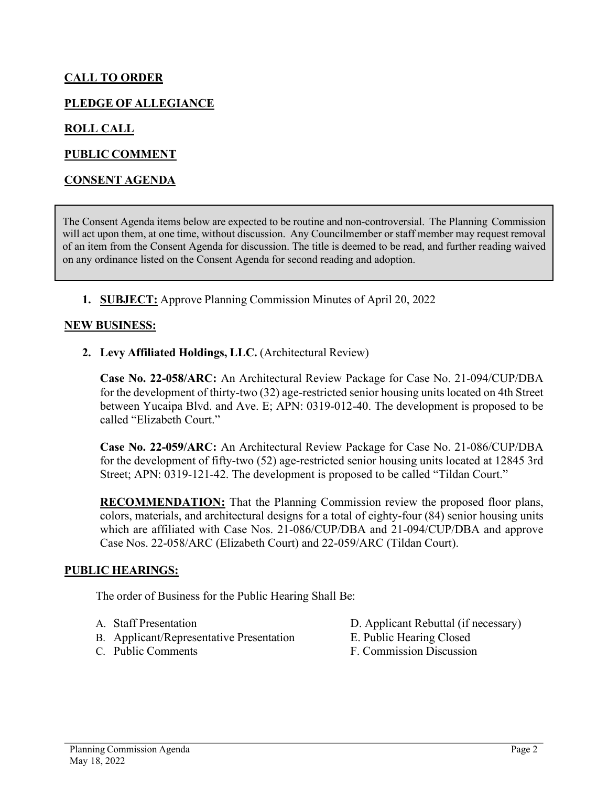## **CALL TO ORDER**

### **PLEDGE OF ALLEGIANCE**

#### **ROLL CALL**

#### **PUBLIC COMMENT**

#### **CONSENT AGENDA**

The Consent Agenda items below are expected to be routine and non-controversial. The Planning Commission will act upon them, at one time, without discussion. Any Councilmember or staff member may request removal of an item from the Consent Agenda for discussion. The title is deemed to be read, and further reading waived on any ordinance listed on the Consent Agenda for second reading and adoption.

**1. SUBJECT:** Approve Planning Commission Minutes of April 20, 2022

#### **NEW BUSINESS:**

**2. Levy Affiliated Holdings, LLC.** (Architectural Review)

**Case No. 22-058/ARC:** An Architectural Review Package for Case No. 21-094/CUP/DBA for the development of thirty-two (32) age-restricted senior housing units located on 4th Street between Yucaipa Blvd. and Ave. E; APN: 0319-012-40. The development is proposed to be called "Elizabeth Court."

**Case No. 22-059/ARC:** An Architectural Review Package for Case No. 21-086/CUP/DBA for the development of fifty-two (52) age-restricted senior housing units located at 12845 3rd Street; APN: 0319-121-42. The development is proposed to be called "Tildan Court."

**RECOMMENDATION:** That the Planning Commission review the proposed floor plans, colors, materials, and architectural designs for a total of eighty-four (84) senior housing units which are affiliated with Case Nos. 21-086/CUP/DBA and 21-094/CUP/DBA and approve Case Nos. 22-058/ARC (Elizabeth Court) and 22-059/ARC (Tildan Court).

#### **PUBLIC HEARINGS:**

The order of Business for the Public Hearing Shall Be:

- 
- B. Applicant/Representative Presentation E. Public Hearing Closed
- 

A. Staff Presentation D. Applicant Rebuttal (if necessary)

- 
- C. Public Comments F. Commission Discussion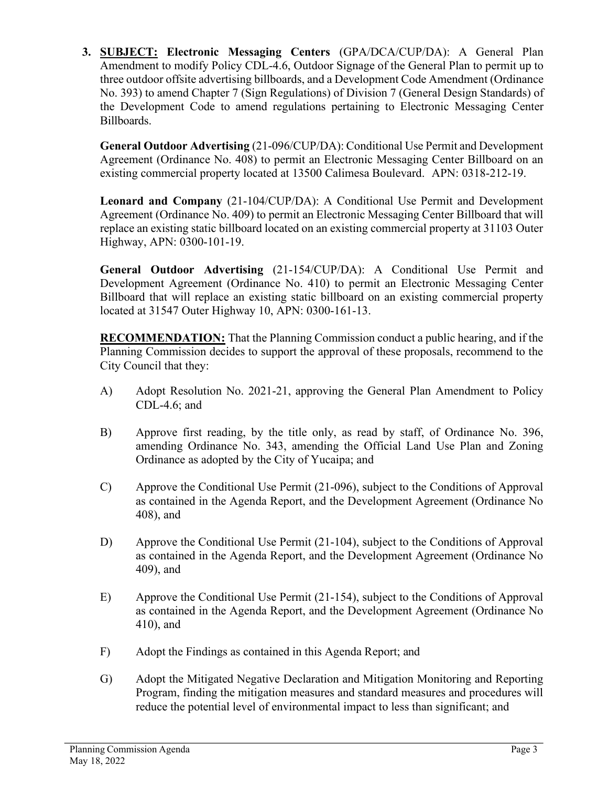**3. SUBJECT: Electronic Messaging Centers** (GPA/DCA/CUP/DA): A General Plan Amendment to modify Policy CDL-4.6, Outdoor Signage of the General Plan to permit up to three outdoor offsite advertising billboards, and a Development Code Amendment (Ordinance No. 393) to amend Chapter 7 (Sign Regulations) of Division 7 (General Design Standards) of the Development Code to amend regulations pertaining to Electronic Messaging Center Billboards.

**General Outdoor Advertising** (21-096/CUP/DA): Conditional Use Permit and Development Agreement (Ordinance No. 408) to permit an Electronic Messaging Center Billboard on an existing commercial property located at 13500 Calimesa Boulevard. APN: 0318-212-19.

**Leonard and Company** (21-104/CUP/DA): A Conditional Use Permit and Development Agreement (Ordinance No. 409) to permit an Electronic Messaging Center Billboard that will replace an existing static billboard located on an existing commercial property at 31103 Outer Highway, APN: 0300-101-19.

**General Outdoor Advertising** (21-154/CUP/DA): A Conditional Use Permit and Development Agreement (Ordinance No. 410) to permit an Electronic Messaging Center Billboard that will replace an existing static billboard on an existing commercial property located at 31547 Outer Highway 10, APN: 0300-161-13.

**RECOMMENDATION:** That the Planning Commission conduct a public hearing, and if the Planning Commission decides to support the approval of these proposals, recommend to the City Council that they:

- A) Adopt Resolution No. 2021-21, approving the General Plan Amendment to Policy CDL-4.6; and
- B) Approve first reading, by the title only, as read by staff, of Ordinance No. 396, amending Ordinance No. 343, amending the Official Land Use Plan and Zoning Ordinance as adopted by the City of Yucaipa; and
- C) Approve the Conditional Use Permit (21-096), subject to the Conditions of Approval as contained in the Agenda Report, and the Development Agreement (Ordinance No 408), and
- D) Approve the Conditional Use Permit (21-104), subject to the Conditions of Approval as contained in the Agenda Report, and the Development Agreement (Ordinance No 409), and
- E) Approve the Conditional Use Permit (21-154), subject to the Conditions of Approval as contained in the Agenda Report, and the Development Agreement (Ordinance No 410), and
- F) Adopt the Findings as contained in this Agenda Report; and
- G) Adopt the Mitigated Negative Declaration and Mitigation Monitoring and Reporting Program, finding the mitigation measures and standard measures and procedures will reduce the potential level of environmental impact to less than significant; and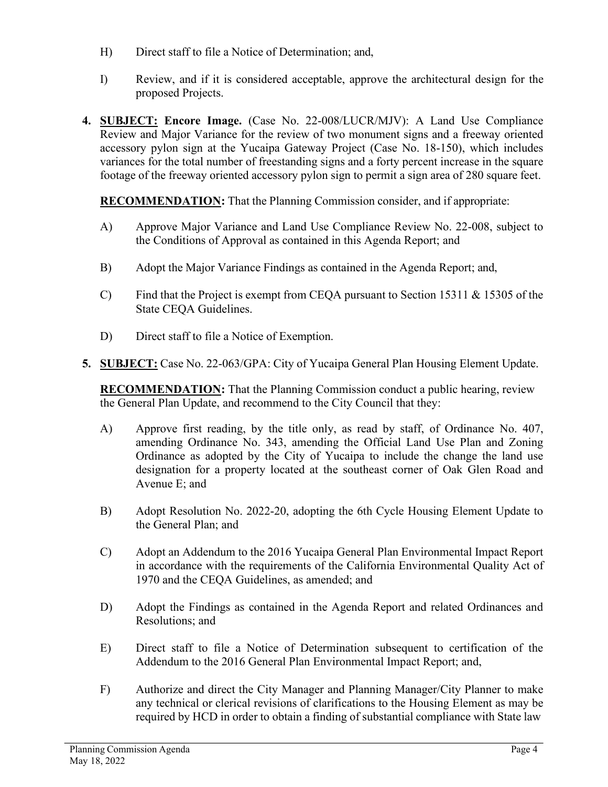- H) Direct staff to file a Notice of Determination; and,
- I) Review, and if it is considered acceptable, approve the architectural design for the proposed Projects.
- **4. SUBJECT: Encore Image.** (Case No. 22-008/LUCR/MJV): A Land Use Compliance Review and Major Variance for the review of two monument signs and a freeway oriented accessory pylon sign at the Yucaipa Gateway Project (Case No. 18-150), which includes variances for the total number of freestanding signs and a forty percent increase in the square footage of the freeway oriented accessory pylon sign to permit a sign area of 280 square feet.

**RECOMMENDATION:** That the Planning Commission consider, and if appropriate:

- A) Approve Major Variance and Land Use Compliance Review No. 22-008, subject to the Conditions of Approval as contained in this Agenda Report; and
- B) Adopt the Major Variance Findings as contained in the Agenda Report; and,
- C) Find that the Project is exempt from CEQA pursuant to Section 15311 & 15305 of the State CEQA Guidelines.
- D) Direct staff to file a Notice of Exemption.
- **5. SUBJECT:** Case No. 22-063/GPA: City of Yucaipa General Plan Housing Element Update.

**RECOMMENDATION:** That the Planning Commission conduct a public hearing, review the General Plan Update, and recommend to the City Council that they:

- A) Approve first reading, by the title only, as read by staff, of Ordinance No. 407, amending Ordinance No. 343, amending the Official Land Use Plan and Zoning Ordinance as adopted by the City of Yucaipa to include the change the land use designation for a property located at the southeast corner of Oak Glen Road and Avenue E; and
- B) Adopt Resolution No. 2022-20, adopting the 6th Cycle Housing Element Update to the General Plan; and
- C) Adopt an Addendum to the 2016 Yucaipa General Plan Environmental Impact Report in accordance with the requirements of the California Environmental Quality Act of 1970 and the CEQA Guidelines, as amended; and
- D) Adopt the Findings as contained in the Agenda Report and related Ordinances and Resolutions; and
- E) Direct staff to file a Notice of Determination subsequent to certification of the Addendum to the 2016 General Plan Environmental Impact Report; and,
- F) Authorize and direct the City Manager and Planning Manager/City Planner to make any technical or clerical revisions of clarifications to the Housing Element as may be required by HCD in order to obtain a finding of substantial compliance with State law